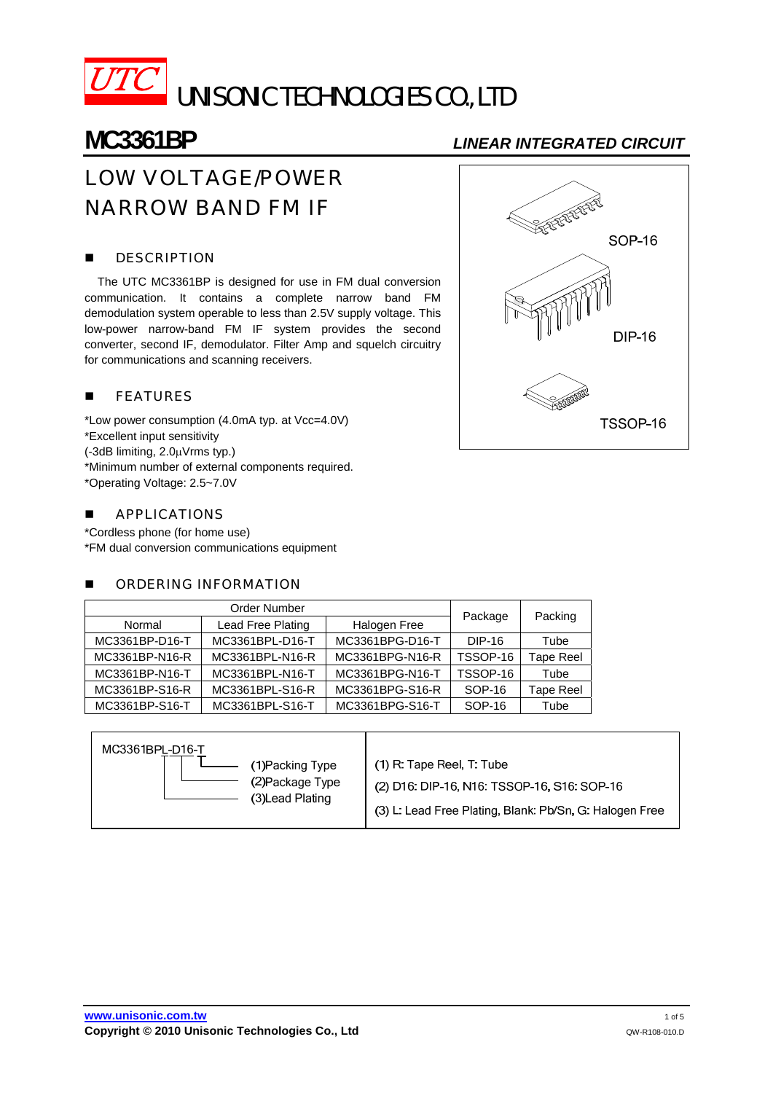

# **MC3361BP** *LINEAR INTEGRATED CIRCUIT*

# LOW VOLTAGE/POWER NARROW BAND FM IF

# **DESCRIPTION**

 The UTC MC3361BP is designed for use in FM dual conversion communication. It contains a complete narrow band FM demodulation system operable to less than 2.5V supply voltage. This low-power narrow-band FM IF system provides the second converter, second IF, demodulator. Filter Amp and squelch circuitry for communications and scanning receivers.

# **FEATURES**

\*Low power consumption (4.0mA typ. at Vcc=4.0V) \*Excellent input sensitivity (-3dB limiting, 2.0μVrms typ.) \*Minimum number of external components required. \*Operating Voltage: 2.5~7.0V

### **APPLICATIONS**

\*Cordless phone (for home use) \*FM dual conversion communications equipment

## **NUMBER INFORMATION**

| Order Number   |                   |                 |          |           |  |
|----------------|-------------------|-----------------|----------|-----------|--|
| Normal         | Lead Free Plating | Halogen Free    | Package  | Packing   |  |
| MC3361BP-D16-T | MC3361BPL-D16-T   | MC3361BPG-D16-T | DIP-16   | Tube      |  |
| MC3361BP-N16-R | MC3361BPL-N16-R   | MC3361BPG-N16-R | TSSOP-16 | Tape Reel |  |
| MC3361BP-N16-T | MC3361BPL-N16-T   | MC3361BPG-N16-T | TSSOP-16 | Tube      |  |
| MC3361BP-S16-R | MC3361BPL-S16-R   | MC3361BPG-S16-R | SOP-16   | Tape Reel |  |
| MC3361BP-S16-T | MC3361BPL-S16-T   | MC3361BPG-S16-T | SOP-16   | Tube      |  |

| MC3361BPL-D16-T<br>(1) Packing Type<br>(2) Package Type<br>(3)Lead Plating | (1) R: Tape Reel, T: Tube<br>(2) D16: DIP-16, N16: TSSOP-16, S16: SOP-16<br>(3) L: Lead Free Plating, Blank: Pb/Sn, G: Halogen Free |
|----------------------------------------------------------------------------|-------------------------------------------------------------------------------------------------------------------------------------|
|----------------------------------------------------------------------------|-------------------------------------------------------------------------------------------------------------------------------------|

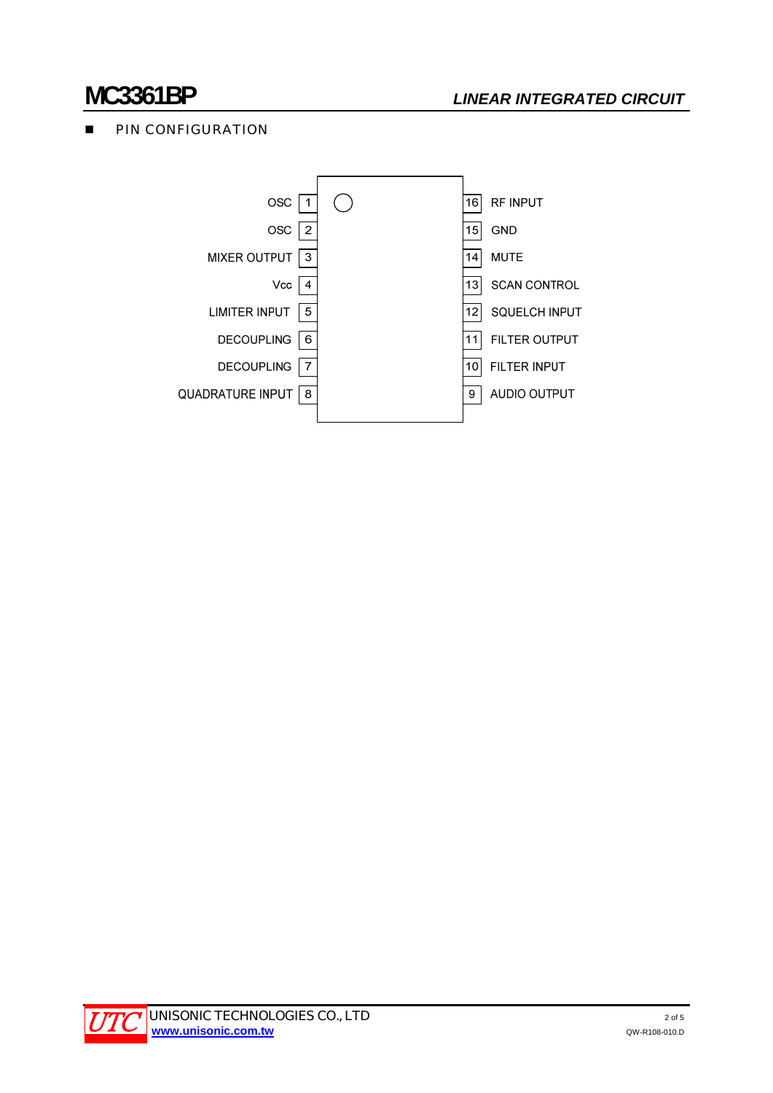# **PIN CONFIGURATION**



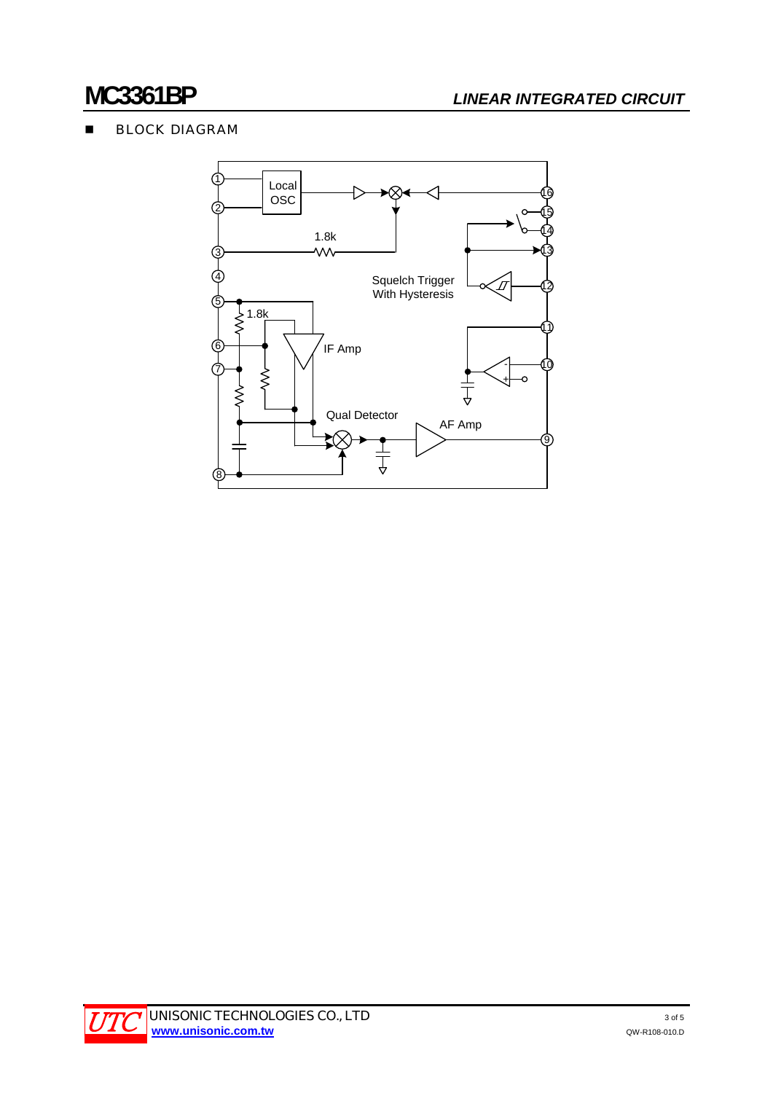# **BLOCK DIAGRAM**



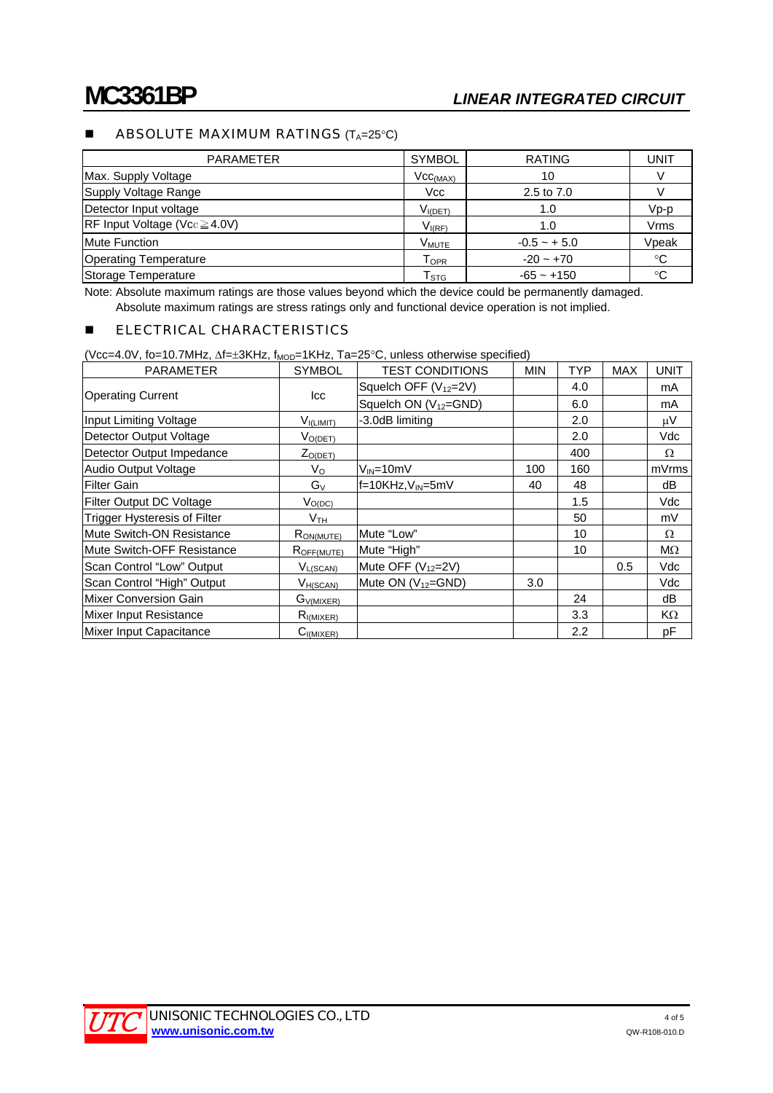# **ABSOLUTE MAXIMUM RATINGS**  $(T_A=25^{\circ}C)$

| <b>PARAMETER</b>                                       | <b>SYMBOL</b>        | <b>RATING</b>  | UNIT        |
|--------------------------------------------------------|----------------------|----------------|-------------|
| Max. Supply Voltage                                    | Vcc <sub>(MAX)</sub> | 10             |             |
| Supply Voltage Range                                   | <b>Vcc</b>           | 2.5 to 7.0     |             |
| Detector Input voltage                                 | $V_{I(DET)}$         | 1.0            | $Vp-p$      |
| $\overline{\text{RF}}$ Input Voltage (Vcc $\geq$ 4.0V) | $V_{I(RF)}$          | 1.0            | Vrms        |
| <b>Mute Function</b>                                   | V <sub>MUTE</sub>    | $-0.5 - + 5.0$ | Vpeak       |
| <b>Operating Temperature</b>                           | $T_{\mathsf{OPR}}$   | $-20 - +70$    | $^{\circ}C$ |
| Storage Temperature                                    | T <sub>STG</sub>     | $-65 - +150$   | $^{\circ}C$ |

Note: Absolute maximum ratings are those values beyond which the device could be permanently damaged. Absolute maximum ratings are stress ratings only and functional device operation is not implied.

### **ELECTRICAL CHARACTERISTICS**

(Vcc=4.0V, fo=10.7MHz, Δf=±3KHz, f<sub>MOD</sub>=1KHz, Ta=25°C, unless otherwise specified)

| <b>PARAMETER</b>                    | <b>SYMBOL</b>   | <b>TEST CONDITIONS</b>            | <b>MIN</b> | <b>TYP</b> | <b>MAX</b> | <b>UNIT</b> |
|-------------------------------------|-----------------|-----------------------------------|------------|------------|------------|-------------|
|                                     | lcc             | Squelch OFF (V <sub>12</sub> =2V) |            | 4.0        |            | mA          |
| <b>Operating Current</b>            |                 | Squelch ON $(V_{12} = GND)$       |            | 6.0        |            | mA          |
| Input Limiting Voltage              | $V_{I(LIMIT)}$  | -3.0dB limiting                   |            | 2.0        |            | $\mu$ V     |
| Detector Output Voltage             | $V_{O(DET)}$    |                                   |            | 2.0        |            | Vdc         |
| Detector Output Impedance           | $Z_{O(DET)}$    |                                   |            | 400        |            | Ω           |
| Audio Output Voltage                | V <sub>o</sub>  | $V_{IN}$ =10mV                    | 100        | 160        |            | mVrms       |
| <b>Filter Gain</b>                  | $G_V$           | f=10KHz, V <sub>IN</sub> =5mV     | 40         | 48         |            | dB          |
| Filter Output DC Voltage            | $V_{O(DC)}$     |                                   |            | 1.5        |            | Vdc         |
| <b>Trigger Hysteresis of Filter</b> | $V_{\sf TH}$    |                                   |            | 50         |            | mV          |
| Mute Switch-ON Resistance           | $R_{ON(MUTE)}$  | Mute "Low"                        |            | 10         |            | Ω           |
| Mute Switch-OFF Resistance          | $R_{OFF(MUTE)}$ | Mute "High"                       |            | 10         |            | $M\Omega$   |
| Scan Control "Low" Output           | $V_{L(SCAN)}$   | Mute OFF (V <sub>12</sub> =2V)    |            |            | 0.5        | Vdc         |
| Scan Control "High" Output          | $V_{H(SCAN)}$   | Mute ON $(V_{12}=GND)$            | 3.0        |            |            | Vdc         |
| <b>Mixer Conversion Gain</b>        | $G_{V(MIXER)}$  |                                   |            | 24         |            | dB          |
| <b>Mixer Input Resistance</b>       | $R_{I(MIXER)}$  |                                   |            | 3.3        |            | KΩ          |
| Mixer Input Capacitance             | $C_{I(MIXER)}$  |                                   |            | 2.2        |            | pF          |